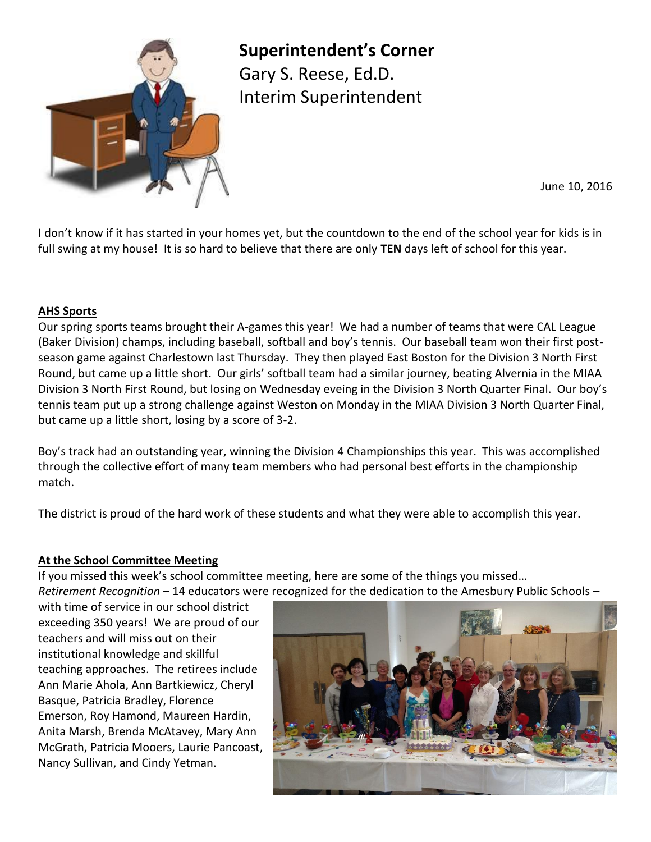

**Superintendent's Corner** Gary S. Reese, Ed.D.

Interim Superintendent

June 10, 2016

I don't know if it has started in your homes yet, but the countdown to the end of the school year for kids is in full swing at my house! It is so hard to believe that there are only **TEN** days left of school for this year.

### **AHS Sports**

Our spring sports teams brought their A-games this year! We had a number of teams that were CAL League (Baker Division) champs, including baseball, softball and boy's tennis. Our baseball team won their first postseason game against Charlestown last Thursday. They then played East Boston for the Division 3 North First Round, but came up a little short. Our girls' softball team had a similar journey, beating Alvernia in the MIAA Division 3 North First Round, but losing on Wednesday eveing in the Division 3 North Quarter Final. Our boy's tennis team put up a strong challenge against Weston on Monday in the MIAA Division 3 North Quarter Final, but came up a little short, losing by a score of 3-2.

Boy's track had an outstanding year, winning the Division 4 Championships this year. This was accomplished through the collective effort of many team members who had personal best efforts in the championship match.

The district is proud of the hard work of these students and what they were able to accomplish this year.

# **At the School Committee Meeting**

If you missed this week's school committee meeting, here are some of the things you missed… *Retirement Recognition –* 14 educators were recognized for the dedication to the Amesbury Public Schools –

with time of service in our school district exceeding 350 years! We are proud of our teachers and will miss out on their institutional knowledge and skillful teaching approaches. The retirees include Ann Marie Ahola, Ann Bartkiewicz, Cheryl Basque, Patricia Bradley, Florence Emerson, Roy Hamond, Maureen Hardin, Anita Marsh, Brenda McAtavey, Mary Ann McGrath, Patricia Mooers, Laurie Pancoast, Nancy Sullivan, and Cindy Yetman.

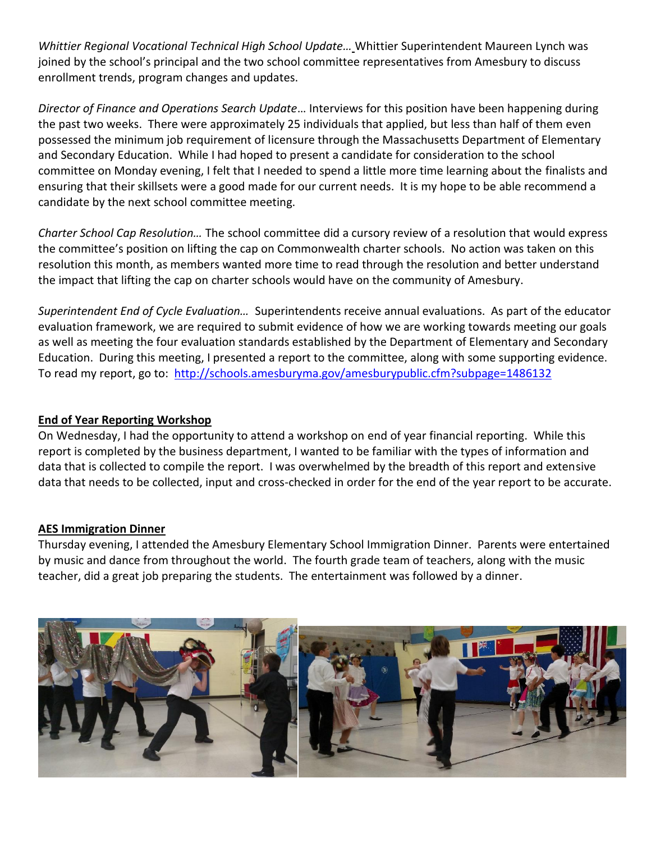*Whittier Regional Vocational Technical High School Update…* Whittier Superintendent Maureen Lynch was joined by the school's principal and the two school committee representatives from Amesbury to discuss enrollment trends, program changes and updates.

*Director of Finance and Operations Search Update*… Interviews for this position have been happening during the past two weeks. There were approximately 25 individuals that applied, but less than half of them even possessed the minimum job requirement of licensure through the Massachusetts Department of Elementary and Secondary Education. While I had hoped to present a candidate for consideration to the school committee on Monday evening, I felt that I needed to spend a little more time learning about the finalists and ensuring that their skillsets were a good made for our current needs. It is my hope to be able recommend a candidate by the next school committee meeting.

*Charter School Cap Resolution…* The school committee did a cursory review of a resolution that would express the committee's position on lifting the cap on Commonwealth charter schools. No action was taken on this resolution this month, as members wanted more time to read through the resolution and better understand the impact that lifting the cap on charter schools would have on the community of Amesbury.

*Superintendent End of Cycle Evaluation…* Superintendents receive annual evaluations. As part of the educator evaluation framework, we are required to submit evidence of how we are working towards meeting our goals as well as meeting the four evaluation standards established by the Department of Elementary and Secondary Education. During this meeting, I presented a report to the committee, along with some supporting evidence. To read my report, go to: <http://schools.amesburyma.gov/amesburypublic.cfm?subpage=1486132>

# **End of Year Reporting Workshop**

On Wednesday, I had the opportunity to attend a workshop on end of year financial reporting. While this report is completed by the business department, I wanted to be familiar with the types of information and data that is collected to compile the report. I was overwhelmed by the breadth of this report and extensive data that needs to be collected, input and cross-checked in order for the end of the year report to be accurate.

# **AES Immigration Dinner**

Thursday evening, I attended the Amesbury Elementary School Immigration Dinner. Parents were entertained by music and dance from throughout the world. The fourth grade team of teachers, along with the music teacher, did a great job preparing the students. The entertainment was followed by a dinner.